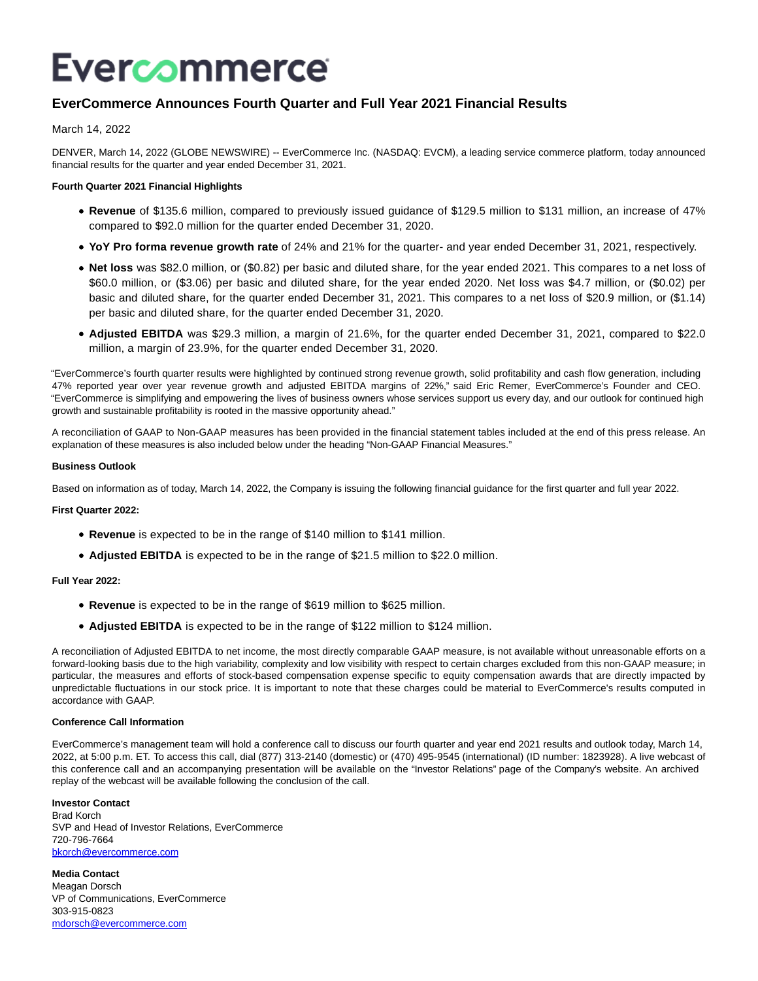# Evercommerce

# **EverCommerce Announces Fourth Quarter and Full Year 2021 Financial Results**

March 14, 2022

DENVER, March 14, 2022 (GLOBE NEWSWIRE) -- EverCommerce Inc. (NASDAQ: EVCM), a leading service commerce platform, today announced financial results for the quarter and year ended December 31, 2021.

#### **Fourth Quarter 2021 Financial Highlights**

- **Revenue** of \$135.6 million, compared to previously issued guidance of \$129.5 million to \$131 million, an increase of 47% compared to \$92.0 million for the quarter ended December 31, 2020.
- **YoY Pro forma revenue growth rate** of 24% and 21% for the quarter- and year ended December 31, 2021, respectively.
- **Net loss** was \$82.0 million, or (\$0.82) per basic and diluted share, for the year ended 2021. This compares to a net loss of \$60.0 million, or (\$3.06) per basic and diluted share, for the year ended 2020. Net loss was \$4.7 million, or (\$0.02) per basic and diluted share, for the quarter ended December 31, 2021. This compares to a net loss of \$20.9 million, or (\$1.14) per basic and diluted share, for the quarter ended December 31, 2020.
- **Adjusted EBITDA** was \$29.3 million, a margin of 21.6%, for the quarter ended December 31, 2021, compared to \$22.0 million, a margin of 23.9%, for the quarter ended December 31, 2020.

"EverCommerce's fourth quarter results were highlighted by continued strong revenue growth, solid profitability and cash flow generation, including 47% reported year over year revenue growth and adjusted EBITDA margins of 22%," said Eric Remer, EverCommerce's Founder and CEO. "EverCommerce is simplifying and empowering the lives of business owners whose services support us every day, and our outlook for continued high growth and sustainable profitability is rooted in the massive opportunity ahead."

A reconciliation of GAAP to Non-GAAP measures has been provided in the financial statement tables included at the end of this press release. An explanation of these measures is also included below under the heading "Non-GAAP Financial Measures."

#### **Business Outlook**

Based on information as of today, March 14, 2022, the Company is issuing the following financial guidance for the first quarter and full year 2022.

**First Quarter 2022:**

- **Revenue** is expected to be in the range of \$140 million to \$141 million.
- **Adjusted EBITDA** is expected to be in the range of \$21.5 million to \$22.0 million.

#### **Full Year 2022:**

- **Revenue** is expected to be in the range of \$619 million to \$625 million.
- **Adjusted EBITDA** is expected to be in the range of \$122 million to \$124 million.

A reconciliation of Adjusted EBITDA to net income, the most directly comparable GAAP measure, is not available without unreasonable efforts on a forward-looking basis due to the high variability, complexity and low visibility with respect to certain charges excluded from this non-GAAP measure; in particular, the measures and efforts of stock-based compensation expense specific to equity compensation awards that are directly impacted by unpredictable fluctuations in our stock price. It is important to note that these charges could be material to EverCommerce's results computed in accordance with GAAP.

#### **Conference Call Information**

EverCommerce's management team will hold a conference call to discuss our fourth quarter and year end 2021 results and outlook today, March 14, 2022, at 5:00 p.m. ET. To access this call, dial (877) 313-2140 (domestic) or (470) 495-9545 (international) (ID number: 1823928). A live webcast of this conference call and an accompanying presentation will be available on the "Investor Relations" page of the Company's website. An archived replay of the webcast will be available following the conclusion of the call.

**Investor Contact** Brad Korch SVP and Head of Investor Relations, EverCommerce 720-796-7664 [bkorch@evercommerce.com](https://www.globenewswire.com/Tracker?data=WDSMDFdESRwIEs6bMkJwcWnJUvesq0JTf35XnaDt_OyDBO1LqaJNT5dBuCH-ruaOVtmFC5VTaMKQ5coc7ZlO90YXyTu9svzj4TfpdDZEjrk=)

**Media Contact** Meagan Dorsch VP of Communications, EverCommerce 303-915-0823 [mdorsch@evercommerce.com](https://www.globenewswire.com/Tracker?data=1SDmeLJHSfgAKyuwWcdtnxr1vBkH7Not0LUZviK1NZwr-96V7-d3VDW4XOuATdo1kMx9_7mCt61Y7uaA6pccqNiaotR8eQGx8LX-xVQnzsY=)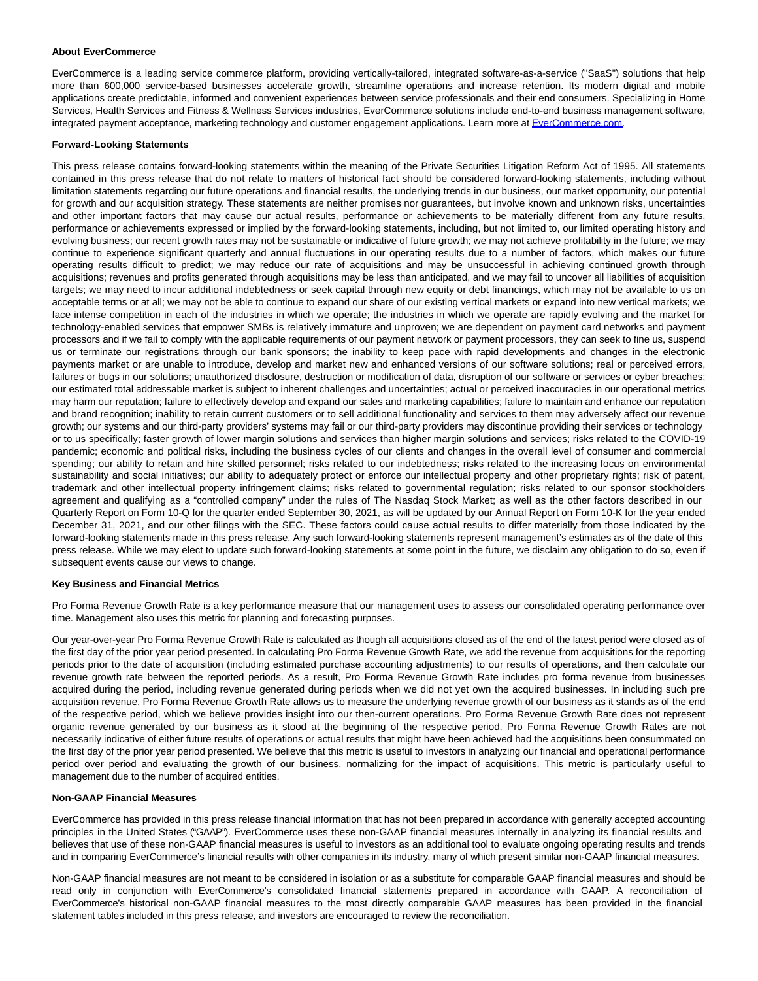#### **About EverCommerce**

EverCommerce is a leading service commerce platform, providing vertically-tailored, integrated software-as-a-service ("SaaS") solutions that help more than 600,000 service-based businesses accelerate growth, streamline operations and increase retention. Its modern digital and mobile applications create predictable, informed and convenient experiences between service professionals and their end consumers. Specializing in Home Services, Health Services and Fitness & Wellness Services industries, EverCommerce solutions include end-to-end business management software, integrated payment acceptance, marketing technology and customer engagement applications. Learn more at [EverCommerce.com.](https://www.globenewswire.com/Tracker?data=AIkQ6a9HUXncdOQXrdyv1b8tVU_L7_z3uO3q77JkweIIIAFLPesJ2bxQM2-K1jOC0YxgM_lQR0hxTwR0Z2dAmA==)

#### **Forward-Looking Statements**

This press release contains forward-looking statements within the meaning of the Private Securities Litigation Reform Act of 1995. All statements contained in this press release that do not relate to matters of historical fact should be considered forward-looking statements, including without limitation statements regarding our future operations and financial results, the underlying trends in our business, our market opportunity, our potential for growth and our acquisition strategy. These statements are neither promises nor guarantees, but involve known and unknown risks, uncertainties and other important factors that may cause our actual results, performance or achievements to be materially different from any future results, performance or achievements expressed or implied by the forward-looking statements, including, but not limited to, our limited operating history and evolving business; our recent growth rates may not be sustainable or indicative of future growth; we may not achieve profitability in the future; we may continue to experience significant quarterly and annual fluctuations in our operating results due to a number of factors, which makes our future operating results difficult to predict; we may reduce our rate of acquisitions and may be unsuccessful in achieving continued growth through acquisitions; revenues and profits generated through acquisitions may be less than anticipated, and we may fail to uncover all liabilities of acquisition targets; we may need to incur additional indebtedness or seek capital through new equity or debt financings, which may not be available to us on acceptable terms or at all; we may not be able to continue to expand our share of our existing vertical markets or expand into new vertical markets; we face intense competition in each of the industries in which we operate; the industries in which we operate are rapidly evolving and the market for technology-enabled services that empower SMBs is relatively immature and unproven; we are dependent on payment card networks and payment processors and if we fail to comply with the applicable requirements of our payment network or payment processors, they can seek to fine us, suspend us or terminate our registrations through our bank sponsors; the inability to keep pace with rapid developments and changes in the electronic payments market or are unable to introduce, develop and market new and enhanced versions of our software solutions; real or perceived errors, failures or bugs in our solutions; unauthorized disclosure, destruction or modification of data, disruption of our software or services or cyber breaches; our estimated total addressable market is subject to inherent challenges and uncertainties; actual or perceived inaccuracies in our operational metrics may harm our reputation; failure to effectively develop and expand our sales and marketing capabilities; failure to maintain and enhance our reputation and brand recognition; inability to retain current customers or to sell additional functionality and services to them may adversely affect our revenue growth; our systems and our third-party providers' systems may fail or our third-party providers may discontinue providing their services or technology or to us specifically; faster growth of lower margin solutions and services than higher margin solutions and services; risks related to the COVID-19 pandemic; economic and political risks, including the business cycles of our clients and changes in the overall level of consumer and commercial spending; our ability to retain and hire skilled personnel; risks related to our indebtedness; risks related to the increasing focus on environmental sustainability and social initiatives; our ability to adequately protect or enforce our intellectual property and other proprietary rights; risk of patent, trademark and other intellectual property infringement claims; risks related to governmental regulation; risks related to our sponsor stockholders agreement and qualifying as a "controlled company" under the rules of The Nasdaq Stock Market; as well as the other factors described in our Quarterly Report on Form 10-Q for the quarter ended September 30, 2021, as will be updated by our Annual Report on Form 10-K for the year ended December 31, 2021, and our other filings with the SEC. These factors could cause actual results to differ materially from those indicated by the forward-looking statements made in this press release. Any such forward-looking statements represent management's estimates as of the date of this press release. While we may elect to update such forward-looking statements at some point in the future, we disclaim any obligation to do so, even if subsequent events cause our views to change.

#### **Key Business and Financial Metrics**

Pro Forma Revenue Growth Rate is a key performance measure that our management uses to assess our consolidated operating performance over time. Management also uses this metric for planning and forecasting purposes.

Our year-over-year Pro Forma Revenue Growth Rate is calculated as though all acquisitions closed as of the end of the latest period were closed as of the first day of the prior year period presented. In calculating Pro Forma Revenue Growth Rate, we add the revenue from acquisitions for the reporting periods prior to the date of acquisition (including estimated purchase accounting adjustments) to our results of operations, and then calculate our revenue growth rate between the reported periods. As a result, Pro Forma Revenue Growth Rate includes pro forma revenue from businesses acquired during the period, including revenue generated during periods when we did not yet own the acquired businesses. In including such pre acquisition revenue, Pro Forma Revenue Growth Rate allows us to measure the underlying revenue growth of our business as it stands as of the end of the respective period, which we believe provides insight into our then-current operations. Pro Forma Revenue Growth Rate does not represent organic revenue generated by our business as it stood at the beginning of the respective period. Pro Forma Revenue Growth Rates are not necessarily indicative of either future results of operations or actual results that might have been achieved had the acquisitions been consummated on the first day of the prior year period presented. We believe that this metric is useful to investors in analyzing our financial and operational performance period over period and evaluating the growth of our business, normalizing for the impact of acquisitions. This metric is particularly useful to management due to the number of acquired entities.

#### **Non-GAAP Financial Measures**

EverCommerce has provided in this press release financial information that has not been prepared in accordance with generally accepted accounting principles in the United States ("GAAP"). EverCommerce uses these non-GAAP financial measures internally in analyzing its financial results and believes that use of these non-GAAP financial measures is useful to investors as an additional tool to evaluate ongoing operating results and trends and in comparing EverCommerce's financial results with other companies in its industry, many of which present similar non-GAAP financial measures.

Non-GAAP financial measures are not meant to be considered in isolation or as a substitute for comparable GAAP financial measures and should be read only in conjunction with EverCommerce's consolidated financial statements prepared in accordance with GAAP. A reconciliation of EverCommerce's historical non-GAAP financial measures to the most directly comparable GAAP measures has been provided in the financial statement tables included in this press release, and investors are encouraged to review the reconciliation.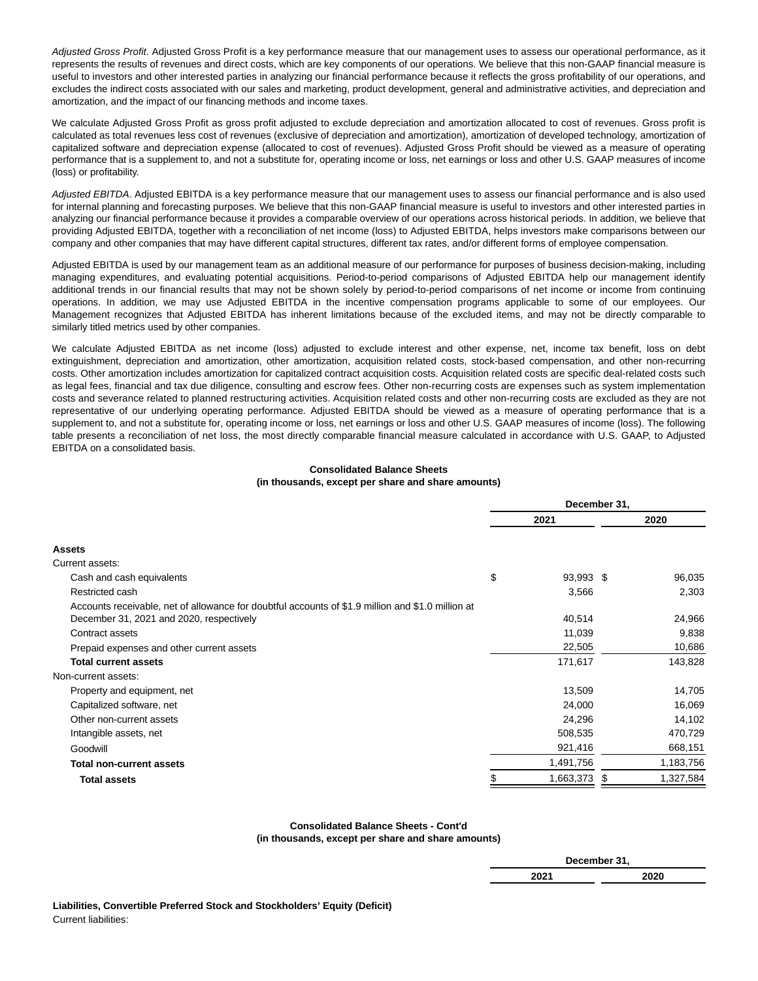Adjusted Gross Profit. Adjusted Gross Profit is a key performance measure that our management uses to assess our operational performance, as it represents the results of revenues and direct costs, which are key components of our operations. We believe that this non-GAAP financial measure is useful to investors and other interested parties in analyzing our financial performance because it reflects the gross profitability of our operations, and excludes the indirect costs associated with our sales and marketing, product development, general and administrative activities, and depreciation and amortization, and the impact of our financing methods and income taxes.

We calculate Adjusted Gross Profit as gross profit adjusted to exclude depreciation and amortization allocated to cost of revenues. Gross profit is calculated as total revenues less cost of revenues (exclusive of depreciation and amortization), amortization of developed technology, amortization of capitalized software and depreciation expense (allocated to cost of revenues). Adjusted Gross Profit should be viewed as a measure of operating performance that is a supplement to, and not a substitute for, operating income or loss, net earnings or loss and other U.S. GAAP measures of income (loss) or profitability.

Adjusted EBITDA. Adjusted EBITDA is a key performance measure that our management uses to assess our financial performance and is also used for internal planning and forecasting purposes. We believe that this non-GAAP financial measure is useful to investors and other interested parties in analyzing our financial performance because it provides a comparable overview of our operations across historical periods. In addition, we believe that providing Adjusted EBITDA, together with a reconciliation of net income (loss) to Adjusted EBITDA, helps investors make comparisons between our company and other companies that may have different capital structures, different tax rates, and/or different forms of employee compensation.

Adjusted EBITDA is used by our management team as an additional measure of our performance for purposes of business decision-making, including managing expenditures, and evaluating potential acquisitions. Period-to-period comparisons of Adjusted EBITDA help our management identify additional trends in our financial results that may not be shown solely by period-to-period comparisons of net income or income from continuing operations. In addition, we may use Adjusted EBITDA in the incentive compensation programs applicable to some of our employees. Our Management recognizes that Adjusted EBITDA has inherent limitations because of the excluded items, and may not be directly comparable to similarly titled metrics used by other companies.

We calculate Adjusted EBITDA as net income (loss) adjusted to exclude interest and other expense, net, income tax benefit, loss on debt extinguishment, depreciation and amortization, other amortization, acquisition related costs, stock-based compensation, and other non-recurring costs. Other amortization includes amortization for capitalized contract acquisition costs. Acquisition related costs are specific deal-related costs such as legal fees, financial and tax due diligence, consulting and escrow fees. Other non-recurring costs are expenses such as system implementation costs and severance related to planned restructuring activities. Acquisition related costs and other non-recurring costs are excluded as they are not representative of our underlying operating performance. Adjusted EBITDA should be viewed as a measure of operating performance that is a supplement to, and not a substitute for, operating income or loss, net earnings or loss and other U.S. GAAP measures of income (loss). The following table presents a reconciliation of net loss, the most directly comparable financial measure calculated in accordance with U.S. GAAP, to Adjusted EBITDA on a consolidated basis.

### **Consolidated Balance Sheets (in thousands, except per share and share amounts)**

|                                                                                                   | December 31,    |    |           |  |
|---------------------------------------------------------------------------------------------------|-----------------|----|-----------|--|
|                                                                                                   | 2021            |    | 2020      |  |
| Assets                                                                                            |                 |    |           |  |
| Current assets:                                                                                   |                 |    |           |  |
| Cash and cash equivalents                                                                         | \$<br>93,993 \$ |    | 96,035    |  |
| Restricted cash                                                                                   | 3,566           |    | 2,303     |  |
| Accounts receivable, net of allowance for doubtful accounts of \$1.9 million and \$1.0 million at |                 |    |           |  |
| December 31, 2021 and 2020, respectively                                                          | 40,514          |    | 24,966    |  |
| Contract assets                                                                                   | 11,039          |    | 9,838     |  |
| Prepaid expenses and other current assets                                                         | 22,505          |    | 10,686    |  |
| <b>Total current assets</b>                                                                       | 171,617         |    | 143,828   |  |
| Non-current assets:                                                                               |                 |    |           |  |
| Property and equipment, net                                                                       | 13,509          |    | 14,705    |  |
| Capitalized software, net                                                                         | 24,000          |    | 16,069    |  |
| Other non-current assets                                                                          | 24,296          |    | 14,102    |  |
| Intangible assets, net                                                                            | 508,535         |    | 470,729   |  |
| Goodwill                                                                                          | 921,416         |    | 668,151   |  |
| <b>Total non-current assets</b>                                                                   | 1,491,756       |    | 1,183,756 |  |
| <b>Total assets</b>                                                                               | \$<br>1,663,373 | \$ | 1,327,584 |  |

#### **Consolidated Balance Sheets - Cont'd (in thousands, except per share and share amounts)**

|      | December 31, |
|------|--------------|
| 2021 | 2020         |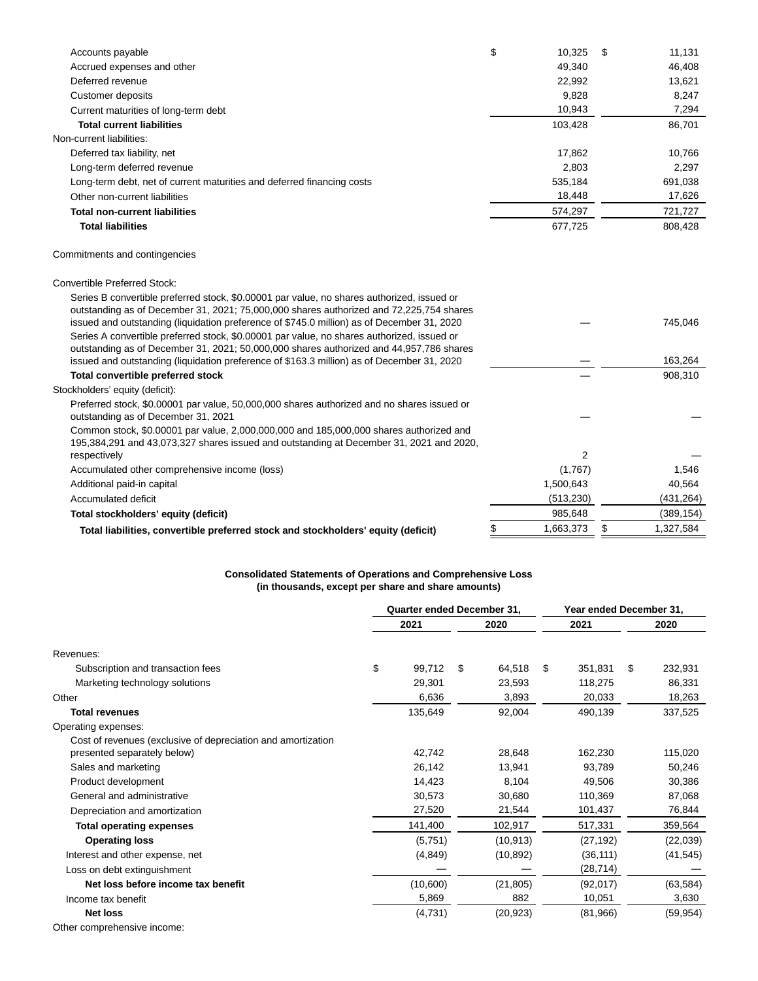| Accounts payable                                                                                                                                                                      | \$<br>10,325         | \$<br>11,131 |
|---------------------------------------------------------------------------------------------------------------------------------------------------------------------------------------|----------------------|--------------|
| Accrued expenses and other                                                                                                                                                            | 49,340               | 46,408       |
| Deferred revenue                                                                                                                                                                      | 22,992               | 13,621       |
| <b>Customer deposits</b>                                                                                                                                                              | 9,828                | 8,247        |
| Current maturities of long-term debt                                                                                                                                                  | 10,943               | 7,294        |
| <b>Total current liabilities</b>                                                                                                                                                      | 103,428              | 86,701       |
| Non-current liabilities:                                                                                                                                                              |                      |              |
| Deferred tax liability, net                                                                                                                                                           | 17,862               | 10,766       |
| Long-term deferred revenue                                                                                                                                                            | 2,803                | 2,297        |
| Long-term debt, net of current maturities and deferred financing costs                                                                                                                | 535,184              | 691,038      |
| Other non-current liabilities                                                                                                                                                         | 18,448               | 17,626       |
| <b>Total non-current liabilities</b>                                                                                                                                                  | 574,297              | 721,727      |
| <b>Total liabilities</b>                                                                                                                                                              | 677,725              | 808,428      |
| Commitments and contingencies                                                                                                                                                         |                      |              |
| <b>Convertible Preferred Stock:</b>                                                                                                                                                   |                      |              |
| Series B convertible preferred stock, \$0.00001 par value, no shares authorized, issued or                                                                                            |                      |              |
| outstanding as of December 31, 2021; 75,000,000 shares authorized and 72,225,754 shares<br>issued and outstanding (liquidation preference of \$745.0 million) as of December 31, 2020 |                      | 745,046      |
| Series A convertible preferred stock, \$0,00001 par value, no shares authorized, issued or                                                                                            |                      |              |
| outstanding as of December 31, 2021; 50,000,000 shares authorized and 44,957,786 shares<br>issued and outstanding (liquidation preference of \$163.3 million) as of December 31, 2020 |                      | 163,264      |
| Total convertible preferred stock                                                                                                                                                     |                      | 908,310      |
| Stockholders' equity (deficit):                                                                                                                                                       |                      |              |
| Preferred stock, \$0.00001 par value, 50,000,000 shares authorized and no shares issued or                                                                                            |                      |              |
| outstanding as of December 31, 2021                                                                                                                                                   |                      |              |
| Common stock, \$0.00001 par value, 2,000,000,000 and 185,000,000 shares authorized and                                                                                                |                      |              |
| 195,384,291 and 43,073,327 shares issued and outstanding at December 31, 2021 and 2020,                                                                                               |                      |              |
| respectively                                                                                                                                                                          | 2                    |              |
| Accumulated other comprehensive income (loss)                                                                                                                                         | (1,767)              | 1,546        |
| Additional paid-in capital                                                                                                                                                            | 1,500,643            | 40,564       |
| Accumulated deficit                                                                                                                                                                   | (513, 230)           | (431, 264)   |
|                                                                                                                                                                                       |                      |              |
| Total stockholders' equity (deficit)                                                                                                                                                  | 985,648<br>1,663,373 | (389, 154)   |

## **Consolidated Statements of Operations and Comprehensive Loss (in thousands, except per share and share amounts)**

|                                                              | <b>Quarter ended December 31,</b> |          |      | Year ended December 31, |      |           |    |           |
|--------------------------------------------------------------|-----------------------------------|----------|------|-------------------------|------|-----------|----|-----------|
|                                                              | 2021                              |          | 2020 |                         | 2021 |           |    | 2020      |
| Revenues:                                                    |                                   |          |      |                         |      |           |    |           |
| Subscription and transaction fees                            | \$                                | 99,712   | \$   | 64,518                  | \$   | 351,831   | \$ | 232,931   |
| Marketing technology solutions                               |                                   | 29,301   |      | 23,593                  |      | 118,275   |    | 86,331    |
| Other                                                        |                                   | 6,636    |      | 3,893                   |      | 20,033    |    | 18,263    |
| <b>Total revenues</b>                                        |                                   | 135,649  |      | 92,004                  |      | 490,139   |    | 337,525   |
| Operating expenses:                                          |                                   |          |      |                         |      |           |    |           |
| Cost of revenues (exclusive of depreciation and amortization |                                   |          |      |                         |      |           |    |           |
| presented separately below)                                  |                                   | 42,742   |      | 28,648                  |      | 162,230   |    | 115,020   |
| Sales and marketing                                          |                                   | 26,142   |      | 13,941                  |      | 93,789    |    | 50,246    |
| Product development                                          |                                   | 14,423   |      | 8,104                   |      | 49,506    |    | 30,386    |
| General and administrative                                   |                                   | 30,573   |      | 30,680                  |      | 110,369   |    | 87,068    |
| Depreciation and amortization                                |                                   | 27,520   |      | 21,544                  |      | 101,437   |    | 76,844    |
| <b>Total operating expenses</b>                              |                                   | 141,400  |      | 102,917                 |      | 517,331   |    | 359,564   |
| <b>Operating loss</b>                                        |                                   | (5,751)  |      | (10, 913)               |      | (27, 192) |    | (22,039)  |
| Interest and other expense, net                              |                                   | (4, 849) |      | (10, 892)               |      | (36, 111) |    | (41, 545) |
| Loss on debt extinguishment                                  |                                   |          |      |                         |      | (28, 714) |    |           |
| Net loss before income tax benefit                           |                                   | (10,600) |      | (21, 805)               |      | (92,017)  |    | (63, 584) |
| Income tax benefit                                           |                                   | 5,869    |      | 882                     |      | 10,051    |    | 3,630     |
| <b>Net loss</b>                                              |                                   | (4,731)  |      | (20, 923)               |      | (81,966)  |    | (59, 954) |
| Other comprehensive income:                                  |                                   |          |      |                         |      |           |    |           |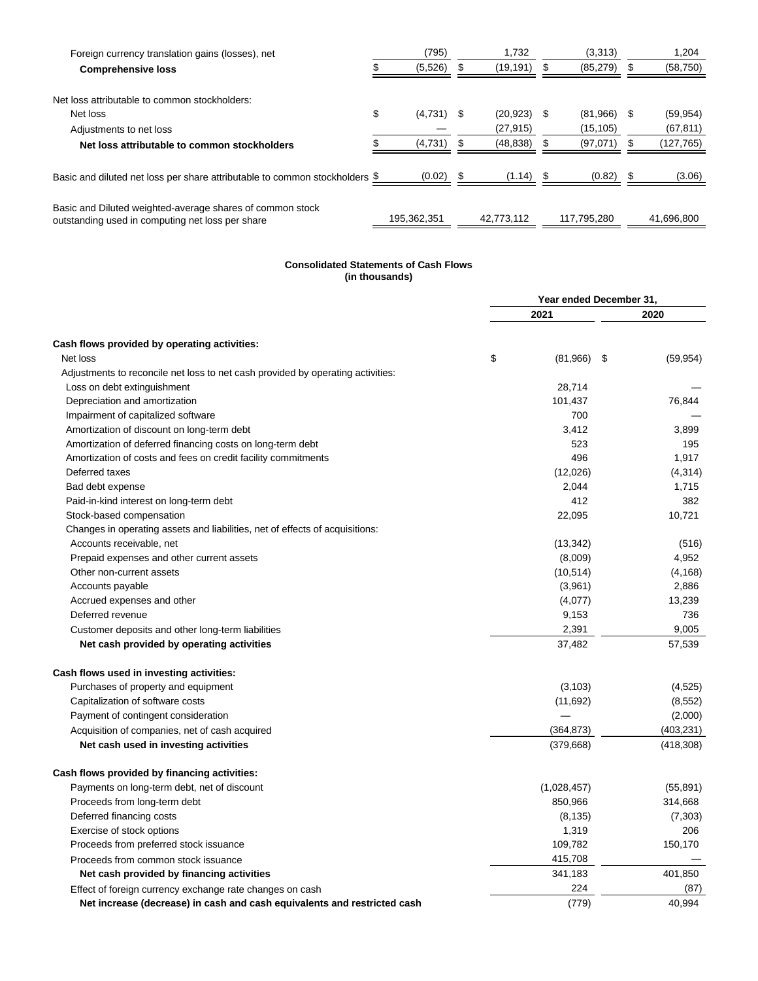| Foreign currency translation gains (losses), net                                                              | (795)              |     | 1.732          |    | (3,313)     | 1,204           |
|---------------------------------------------------------------------------------------------------------------|--------------------|-----|----------------|----|-------------|-----------------|
| <b>Comprehensive loss</b>                                                                                     | (5,526)            |     | (19, 191)      | S. | (85, 279)   | (58, 750)       |
| Net loss attributable to common stockholders:                                                                 |                    |     |                |    |             |                 |
| Net loss                                                                                                      | \$<br>$(4,731)$ \$ |     | $(20, 923)$ \$ |    | (81,966)    | \$<br>(59, 954) |
| Adjustments to net loss                                                                                       |                    |     | (27, 915)      |    | (15, 105)   | (67, 811)       |
| Net loss attributable to common stockholders                                                                  | (4,731)            |     | (48, 838)      |    | (97,071)    | (127, 765)      |
| Basic and diluted net loss per share attributable to common stockholders $\frac{1}{2}$                        | (0.02)             | - 5 | $(1.14)$ \$    |    | (0.82)      | \$<br>(3.06)    |
| Basic and Diluted weighted-average shares of common stock<br>outstanding used in computing net loss per share | 195,362,351        |     | 42.773.112     |    | 117.795.280 | 41.696.800      |

#### **Consolidated Statements of Cash Flows (in thousands)**

|                                                                                 | Year ended December 31, |      |            |  |
|---------------------------------------------------------------------------------|-------------------------|------|------------|--|
|                                                                                 | 2021                    |      | 2020       |  |
| Cash flows provided by operating activities:                                    |                         |      |            |  |
| Net loss                                                                        | \$<br>(81,966)          | - \$ | (59, 954)  |  |
| Adjustments to reconcile net loss to net cash provided by operating activities: |                         |      |            |  |
| Loss on debt extinguishment                                                     | 28,714                  |      |            |  |
| Depreciation and amortization                                                   | 101,437                 |      | 76,844     |  |
| Impairment of capitalized software                                              | 700                     |      |            |  |
| Amortization of discount on long-term debt                                      | 3,412                   |      | 3,899      |  |
| Amortization of deferred financing costs on long-term debt                      | 523                     |      | 195        |  |
| Amortization of costs and fees on credit facility commitments                   | 496                     |      | 1,917      |  |
| Deferred taxes                                                                  | (12,026)                |      | (4,314)    |  |
| Bad debt expense                                                                | 2,044                   |      | 1,715      |  |
| Paid-in-kind interest on long-term debt                                         | 412                     |      | 382        |  |
| Stock-based compensation                                                        | 22,095                  |      | 10,721     |  |
| Changes in operating assets and liabilities, net of effects of acquisitions:    |                         |      |            |  |
| Accounts receivable, net                                                        | (13, 342)               |      | (516)      |  |
| Prepaid expenses and other current assets                                       | (8,009)                 |      | 4,952      |  |
| Other non-current assets                                                        | (10, 514)               |      | (4, 168)   |  |
| Accounts payable                                                                | (3,961)                 |      | 2,886      |  |
| Accrued expenses and other                                                      | (4,077)                 |      | 13,239     |  |
| Deferred revenue                                                                | 9,153                   |      | 736        |  |
| Customer deposits and other long-term liabilities                               | 2,391                   |      | 9,005      |  |
| Net cash provided by operating activities                                       | 37,482                  |      | 57,539     |  |
| Cash flows used in investing activities:                                        |                         |      |            |  |
| Purchases of property and equipment                                             | (3, 103)                |      | (4, 525)   |  |
| Capitalization of software costs                                                | (11,692)                |      | (8, 552)   |  |
| Payment of contingent consideration                                             |                         |      | (2,000)    |  |
| Acquisition of companies, net of cash acquired                                  | (364, 873)              |      | (403, 231) |  |
| Net cash used in investing activities                                           | (379,668)               |      | (418, 308) |  |
| Cash flows provided by financing activities:                                    |                         |      |            |  |
| Payments on long-term debt, net of discount                                     | (1,028,457)             |      | (55, 891)  |  |
| Proceeds from long-term debt                                                    | 850,966                 |      | 314,668    |  |
| Deferred financing costs                                                        | (8, 135)                |      | (7, 303)   |  |
| Exercise of stock options                                                       | 1,319                   |      | 206        |  |
| Proceeds from preferred stock issuance                                          | 109,782                 |      | 150,170    |  |
| Proceeds from common stock issuance                                             | 415,708                 |      |            |  |
| Net cash provided by financing activities                                       | 341,183                 |      | 401,850    |  |
| Effect of foreign currency exchange rate changes on cash                        | 224                     |      | (87)       |  |
| Net increase (decrease) in cash and cash equivalents and restricted cash        | (779)                   |      | 40,994     |  |